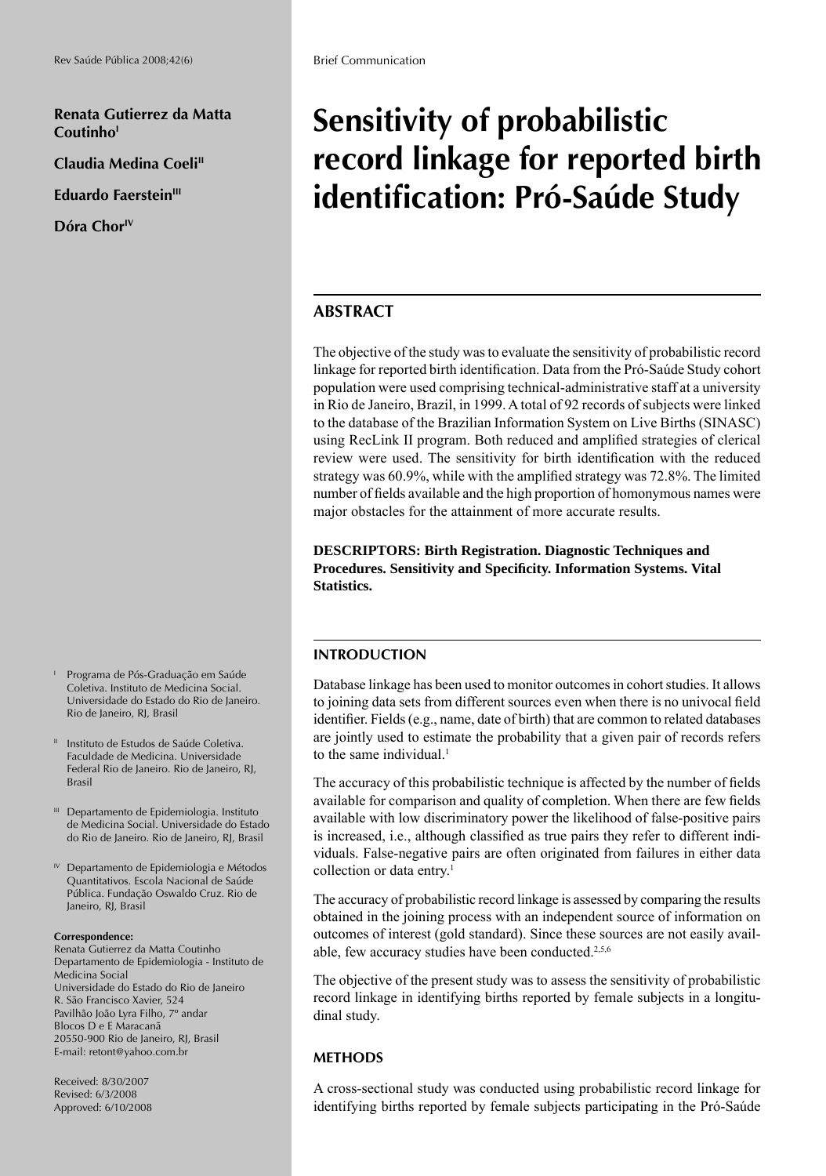**Renata Gutierrez da Matta**  Coutinho<sup>1</sup>

**Claudia Medina Coeli"** 

**Eduardo Faerstein<sup>III</sup>** 

**Dóra ChorIV**

- I Programa de Pós-Graduação em Saúde Coletiva. Instituto de Medicina Social. Universidade do Estado do Rio de Janeiro. Rio de Janeiro, RJ, Brasil
- <sup>II</sup> Instituto de Estudos de Saúde Coletiva. Faculdade de Medicina. Universidade Federal Rio de Janeiro. Rio de Janeiro, RJ, Brasil
- <sup>III</sup> Departamento de Epidemiologia. Instituto de Medicina Social. Universidade do Estado do Rio de Janeiro. Rio de Janeiro, RJ, Brasil
- IV Departamento de Epidemiologia e Métodos Quantitativos. Escola Nacional de Saúde Pública. Fundação Oswaldo Cruz. Rio de Janeiro, RJ, Brasil

#### **Correspondence:**

Renata Gutierrez da Matta Coutinho Departamento de Epidemiologia - Instituto de Medicina Social Universidade do Estado do Rio de Janeiro R. São Francisco Xavier, 524 Pavilhão João Lyra Filho, 7º andar Blocos D e E Maracanã 20550-900 Rio de Janeiro, RJ, Brasil E-mail: retont@yahoo.com.br

Received: 8/30/2007 Revised: 6/3/2008 Approved: 6/10/2008

# **Sensitivity of probabilistic record linkage for reported birth identifi cation: Pró-Saúde Study**

## **ABSTRACT**

The objective of the study was to evaluate the sensitivity of probabilistic record linkage for reported birth identification. Data from the Pró-Saúde Study cohort population were used comprising technical-administrative staff at a university in Rio de Janeiro, Brazil, in 1999. A total of 92 records of subjects were linked to the database of the Brazilian Information System on Live Births (SINASC) using RecLink II program. Both reduced and amplified strategies of clerical review were used. The sensitivity for birth identification with the reduced strategy was  $60.9\%$ , while with the amplified strategy was  $72.8\%$ . The limited number of fields available and the high proportion of homonymous names were major obstacles for the attainment of more accurate results.

**DESCRIPTORS: Birth Registration. Diagnostic Techniques and Procedures. Sensitivity and Specifi city. Information Systems. Vital Statistics.**

## **INTRODUCTION**

Database linkage has been used to monitor outcomes in cohort studies. It allows to joining data sets from different sources even when there is no univocal field identifier. Fields (e.g., name, date of birth) that are common to related databases are jointly used to estimate the probability that a given pair of records refers to the same individual. $<sup>1</sup>$ </sup>

The accuracy of this probabilistic technique is affected by the number of fields available for comparison and quality of completion. When there are few fields available with low discriminatory power the likelihood of false-positive pairs is increased, i.e., although classified as true pairs they refer to different individuals. False-negative pairs are often originated from failures in either data collection or data entry.<sup>1</sup>

The accuracy of probabilistic record linkage is assessed by comparing the results obtained in the joining process with an independent source of information on outcomes of interest (gold standard). Since these sources are not easily available, few accuracy studies have been conducted.2,5,6

The objective of the present study was to assess the sensitivity of probabilistic record linkage in identifying births reported by female subjects in a longitudinal study.

## **METHODS**

A cross-sectional study was conducted using probabilistic record linkage for identifying births reported by female subjects participating in the Pró-Saúde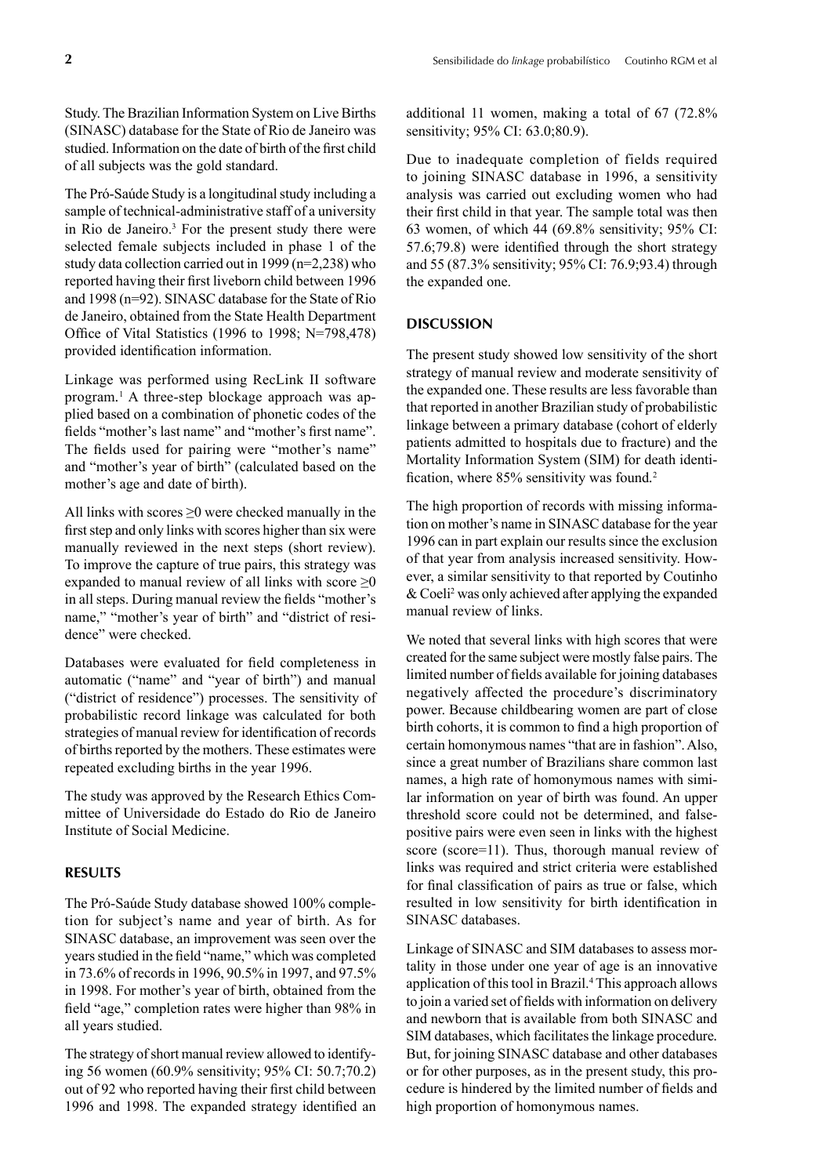Study. The Brazilian Information System on Live Births (SINASC) database for the State of Rio de Janeiro was studied. Information on the date of birth of the first child of all subjects was the gold standard.

The Pró-Saúde Study is a longitudinal study including a sample of technical-administrative staff of a university in Rio de Janeiro. $3$  For the present study there were selected female subjects included in phase 1 of the study data collection carried out in 1999 (n=2,238) who reported having their first liveborn child between 1996 and 1998 (n=92). SINASC database for the State of Rio de Janeiro, obtained from the State Health Department Office of Vital Statistics (1996 to 1998;  $N=798,478$ ) provided identification information.

Linkage was performed using RecLink II software program*.* 1 A three-step blockage approach was applied based on a combination of phonetic codes of the fields "mother's last name" and "mother's first name". The fields used for pairing were "mother's name" and "mother's year of birth" (calculated based on the mother's age and date of birth).

All links with scores  $\geq 0$  were checked manually in the first step and only links with scores higher than six were manually reviewed in the next steps (short review). To improve the capture of true pairs, this strategy was expanded to manual review of all links with score  $\geq 0$ in all steps. During manual review the fields "mother's name," "mother's year of birth" and "district of residence" were checked.

Databases were evaluated for field completeness in automatic ("name" and "year of birth") and manual ("district of residence") processes. The sensitivity of probabilistic record linkage was calculated for both strategies of manual review for identification of records of births reported by the mothers. These estimates were repeated excluding births in the year 1996.

The study was approved by the Research Ethics Committee of Universidade do Estado do Rio de Janeiro Institute of Social Medicine.

### **RESULTS**

The Pró-Saúde Study database showed 100% completion for subject's name and year of birth. As for SINASC database, an improvement was seen over the years studied in the field "name," which was completed in 73.6% of records in 1996, 90.5% in 1997, and 97.5% in 1998. For mother's year of birth, obtained from the field "age," completion rates were higher than 98% in all years studied.

The strategy of short manual review allowed to identifying 56 women (60.9% sensitivity; 95% CI: 50.7;70.2) out of 92 who reported having their first child between 1996 and 1998. The expanded strategy identified an additional 11 women, making a total of 67 (72.8% sensitivity; 95% CI: 63.0;80.9).

Due to inadequate completion of fields required to joining SINASC database in 1996, a sensitivity analysis was carried out excluding women who had their first child in that year. The sample total was then 63 women, of which 44 (69.8% sensitivity; 95% CI:  $57.6$ ;79.8) were identified through the short strategy and 55 (87.3% sensitivity; 95% CI: 76.9;93.4) through the expanded one.

### **DISCUSSION**

The present study showed low sensitivity of the short strategy of manual review and moderate sensitivity of the expanded one. These results are less favorable than that reported in another Brazilian study of probabilistic linkage between a primary database (cohort of elderly patients admitted to hospitals due to fracture) and the Mortality Information System (SIM) for death identification, where 85% sensitivity was found.<sup>2</sup>

The high proportion of records with missing information on mother's name in SINASC database for the year 1996 can in part explain our results since the exclusion of that year from analysis increased sensitivity. However, a similar sensitivity to that reported by Coutinho & Coeli2 was only achieved after applying the expanded manual review of links.

We noted that several links with high scores that were created for the same subject were mostly false pairs. The limited number of fields available for joining databases negatively affected the procedure's discriminatory power. Because childbearing women are part of close birth cohorts, it is common to find a high proportion of certain homonymous names "that are in fashion". Also, since a great number of Brazilians share common last names, a high rate of homonymous names with similar information on year of birth was found. An upper threshold score could not be determined, and falsepositive pairs were even seen in links with the highest score (score=11). Thus, thorough manual review of links was required and strict criteria were established for final classification of pairs as true or false, which resulted in low sensitivity for birth identification in SINASC databases.

Linkage of SINASC and SIM databases to assess mortality in those under one year of age is an innovative application of this tool in Brazil.4 This approach allows to join a varied set of fields with information on delivery and newborn that is available from both SINASC and SIM databases, which facilitates the linkage procedure*.*  But, for joining SINASC database and other databases or for other purposes, as in the present study, this procedure is hindered by the limited number of fields and high proportion of homonymous names.